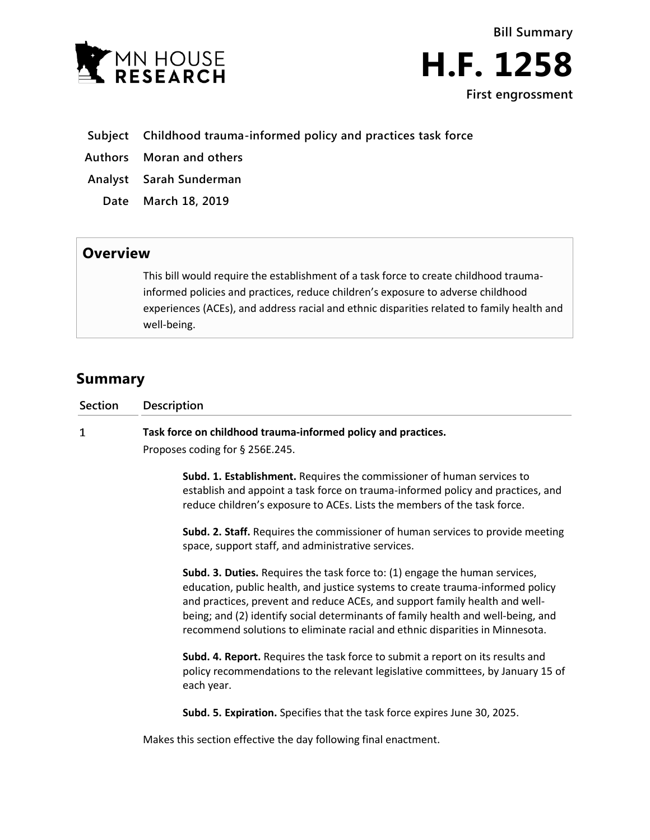



- **Subject Childhood trauma-informed policy and practices task force**
- **Authors Moran and others**
- **Analyst Sarah Sunderman**
	- **Date March 18, 2019**

## **Overview**

This bill would require the establishment of a task force to create childhood traumainformed policies and practices, reduce children's exposure to adverse childhood experiences (ACEs), and address racial and ethnic disparities related to family health and well-being.

## **Summary**

| Section | <b>Description</b>                                                              |
|---------|---------------------------------------------------------------------------------|
|         | Task force on childhood trauma-informed policy and practices.                   |
|         | Proposes coding for § 256E.245.                                                 |
|         | Subd. 1. Establishment. Requires the commissioner of human services to          |
|         | establish and appoint a task force on trauma-informed policy and practices, and |
|         | reduce children's exposure to ACEs. Lists the members of the task force.        |

**Subd. 2. Staff.** Requires the commissioner of human services to provide meeting space, support staff, and administrative services.

**Subd. 3. Duties.** Requires the task force to: (1) engage the human services, education, public health, and justice systems to create trauma-informed policy and practices, prevent and reduce ACEs, and support family health and wellbeing; and (2) identify social determinants of family health and well-being, and recommend solutions to eliminate racial and ethnic disparities in Minnesota.

**Subd. 4. Report.** Requires the task force to submit a report on its results and policy recommendations to the relevant legislative committees, by January 15 of each year.

**Subd. 5. Expiration.** Specifies that the task force expires June 30, 2025.

Makes this section effective the day following final enactment.